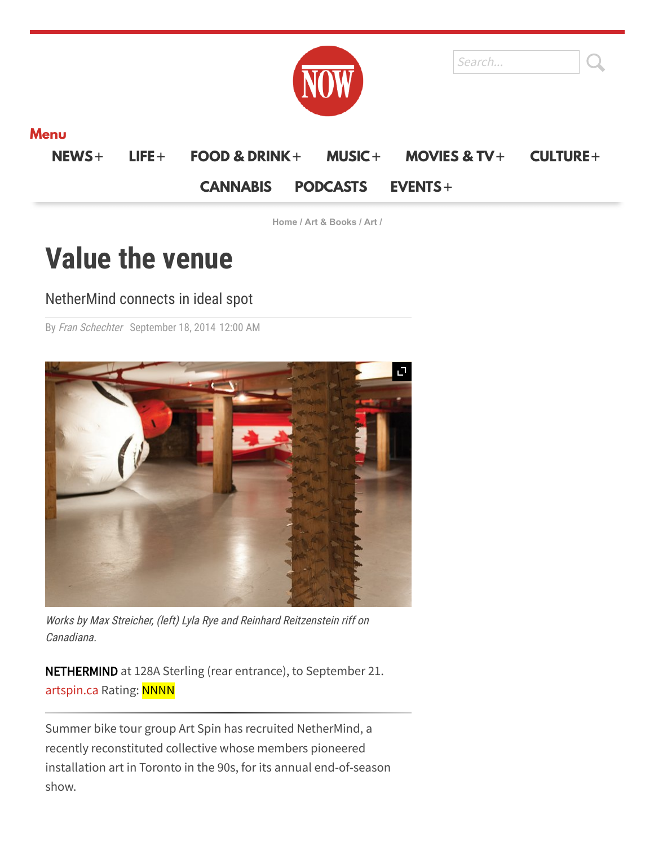|  | . . | ., | $\cdots$ |  | $\sim$ |  |
|--|-----|----|----------|--|--------|--|



### **Menu**

**[NEWS](https://nowtoronto.com/news)**+ **[LIFE](https://nowtoronto.com/lifestyle)**+ **[FOOD & DRINK](https://nowtoronto.com/food-and-drink)**+ **[MUSIC](https://nowtoronto.com/music)**+ **[MOVIES & TV](https://nowtoronto.com/movies)**+ **[CULTURE](https://nowtoronto.com/culture)**+

### **[CANNABIS](https://www.canncentral.com/) [PODCASTS](https://nowtoronto.com/podcasts) [EVENTS](https://nowtoronto.com/nowevents)**+

**[Home](https://nowtoronto.com/) / Art & [Books](https://nowtoronto.com/art-and-books) / [Art](https://nowtoronto.com/topics/art/) /**

# **Value the venue**

## NetherMind connects in ideal spot

By Fran [Schechter](https://nowtoronto.com/topics/fran-schechter/) September 18, 2014 12:00 AM



Works by Max Streicher, (left) Lyla Rye and Reinhard Reitzenstein riff on Canadiana.

**NETHERMIND** at 128A Sterling (rear entrance), to September 21. [artspin.ca](http://www.artspin.ca/) Rating: NNNN

Summer bike tour group Art Spin has recruited NetherMind, a recently reconstituted collective whose members pioneered installation art in Toronto in the 90s, for its annual end-of-season show.